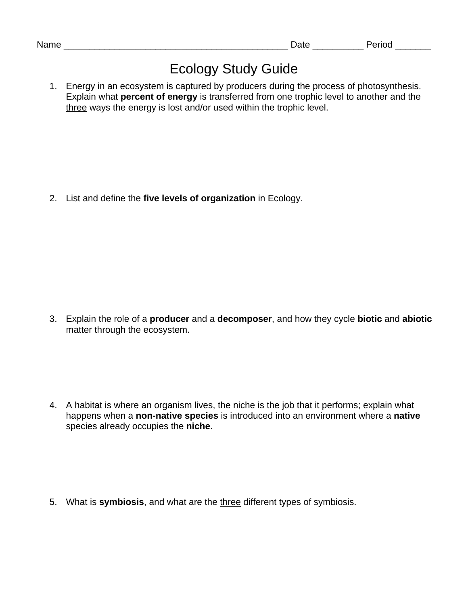## Ecology Study Guide

1. Energy in an ecosystem is captured by producers during the process of photosynthesis. Explain what **percent of energy** is transferred from one trophic level to another and the three ways the energy is lost and/or used within the trophic level.

2. List and define the **five levels of organization** in Ecology.

3. Explain the role of a **producer** and a **decomposer**, and how they cycle **biotic** and **abiotic** matter through the ecosystem.

4. A habitat is where an organism lives, the niche is the job that it performs; explain what happens when a **non-native species** is introduced into an environment where a **native** species already occupies the **niche**.

5. What is **symbiosis**, and what are the three different types of symbiosis.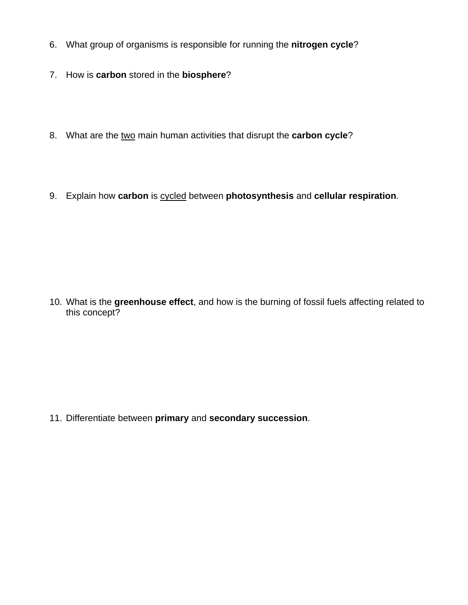- 6. What group of organisms is responsible for running the **nitrogen cycle**?
- 7. How is **carbon** stored in the **biosphere**?
- 8. What are the two main human activities that disrupt the **carbon cycle**?
- 9. Explain how **carbon** is cycled between **photosynthesis** and **cellular respiration**.

10. What is the **greenhouse effect**, and how is the burning of fossil fuels affecting related to this concept?

11. Differentiate between **primary** and **secondary succession**.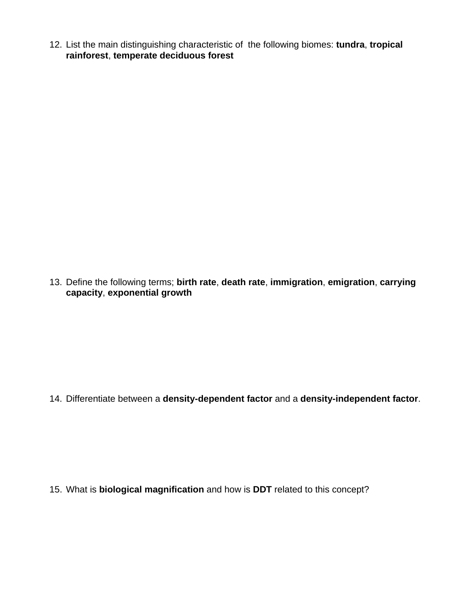12. List the main distinguishing characteristic of the following biomes: **tundra**, **tropical rainforest**, **temperate deciduous forest**

13. Define the following terms; **birth rate**, **death rate**, **immigration**, **emigration**, **carrying capacity**, **exponential growth**

14. Differentiate between a **density-dependent factor** and a **density-independent factor**.

15. What is **biological magnification** and how is **DDT** related to this concept?